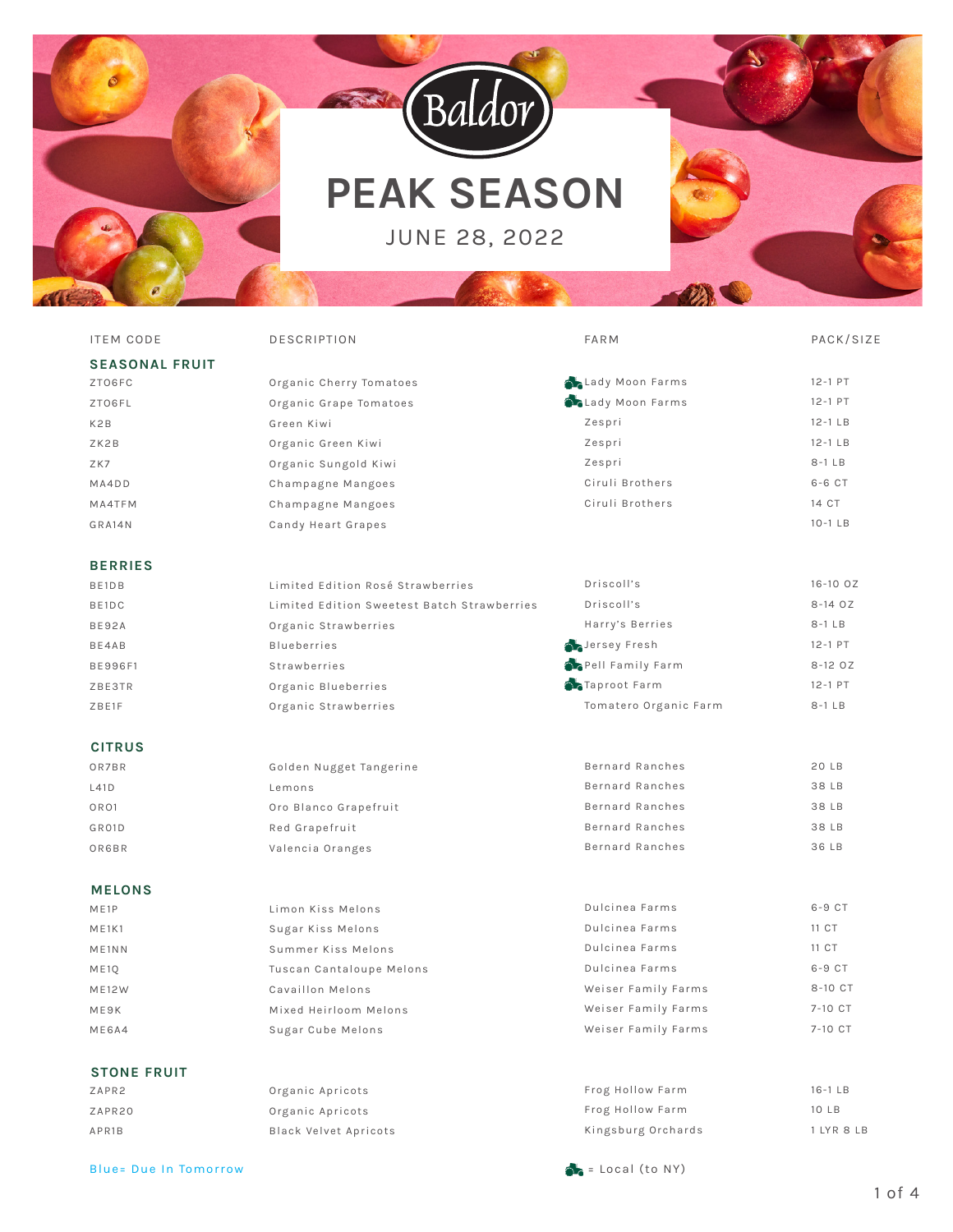



# **PEAK SEASON**

JUNE 28, 2022



| <b>ITEM CODE</b>               | <b>DESCRIPTION</b>                          | <b>FARM</b>             | PACK/SIZE   |
|--------------------------------|---------------------------------------------|-------------------------|-------------|
| <b>SEASONAL FRUIT</b>          |                                             |                         |             |
| ZTO6FC                         | Organic Cherry Tomatoes                     | Lady Moon Farms         | 12-1 PT     |
| ZTO6FL                         | Organic Grape Tomatoes                      | <b>CLady Moon Farms</b> | 12-1 PT     |
| K2B                            | Green Kiwi                                  | Zespri                  | $12-1$ LB   |
| ZK2B                           | Organic Green Kiwi                          | Zespri                  | $12-1$ LB   |
| ZK7                            | Organic Sungold Kiwi                        | Zespri                  | $8-1$ LB    |
| MA4DD                          | Champagne Mangoes                           | Ciruli Brothers         | 6-6 CT      |
| MA4TFM                         | Champagne Mangoes                           | Ciruli Brothers         | 14 CT       |
| GRA14N                         | Candy Heart Grapes                          |                         | $10-1$ LB   |
| <b>BERRIES</b>                 |                                             |                         |             |
| BE1DB                          | Limited Edition Rosé Strawberries           | Driscoll's              | 16-10 OZ    |
| BE1DC                          | Limited Edition Sweetest Batch Strawberries | Driscoll's              | 8-14 OZ     |
| <b>BE92A</b>                   | Organic Strawberries                        | Harry's Berries         | $8-1$ LB    |
| BE4AB                          | <b>Blueberries</b>                          | Jersey Fresh            | $12 - 1$ PT |
| <b>BE996F1</b>                 | Strawberries                                | Pell Family Farm        | 8-12 OZ     |
| <b>ZBE3TR</b>                  | Organic Blueberries                         | Taproot Farm            | $12 - 1$ PT |
| ZBE1F                          | Organic Strawberries                        | Tomatero Organic Farm   | $8-1$ LB    |
| <b>CITRUS</b>                  |                                             |                         |             |
| <b>OR7BR</b>                   | Golden Nugget Tangerine                     | Bernard Ranches         | 20 LB       |
| L41D                           | Lemons                                      | Bernard Ranches         | 38 LB       |
| OR <sub>O1</sub>               | Oro Blanco Grapefruit                       | Bernard Ranches         | 38 LB       |
| GR01D                          | Red Grapefruit                              | Bernard Ranches         | 38 LB       |
| OR6BR                          | Valencia Oranges                            | <b>Bernard Ranches</b>  | 36 LB       |
| <b>MELONS</b>                  |                                             |                         |             |
| ME <sub>1P</sub>               | Limon Kiss Melons                           | Dulcinea Farms          | $6-9$ $CT$  |
| M E1K1                         | Sugar Kiss Melons                           | Dulcinea Farms          | 11 CT       |
| ME <sub>1</sub> N <sub>N</sub> | Summer Kiss Melons                          | Dulcinea Farms          | 11 CT       |
| ME <sub>10</sub>               | Tuscan Cantaloupe Melons                    | Dulcinea Farms          | 6-9 CT      |
| <b>ME12W</b>                   | Cavaillon Melons                            | Weiser Family Farms     | 8-10 CT     |
| ME9K                           | Mixed Heirloom Melons                       | Weiser Family Farms     | 7-10 CT     |
| ME6A4                          | Sugar Cube Melons                           | Weiser Family Farms     | 7-10 CT     |
| <b>STONE FRUIT</b>             |                                             |                         |             |
| ZAPR2                          | Organic Apricots                            | Frog Hollow Farm        | $16-1$ LB   |
| ZAPR20                         | Organic Apricots                            | Frog Hollow Farm        | 10 LB       |

## Blue= Due In Tomorrow example of the state of the Second Second (to NY)

Black Velvet Apricots

APR1B

Kingsburg Orchards

1 LYR 8 LB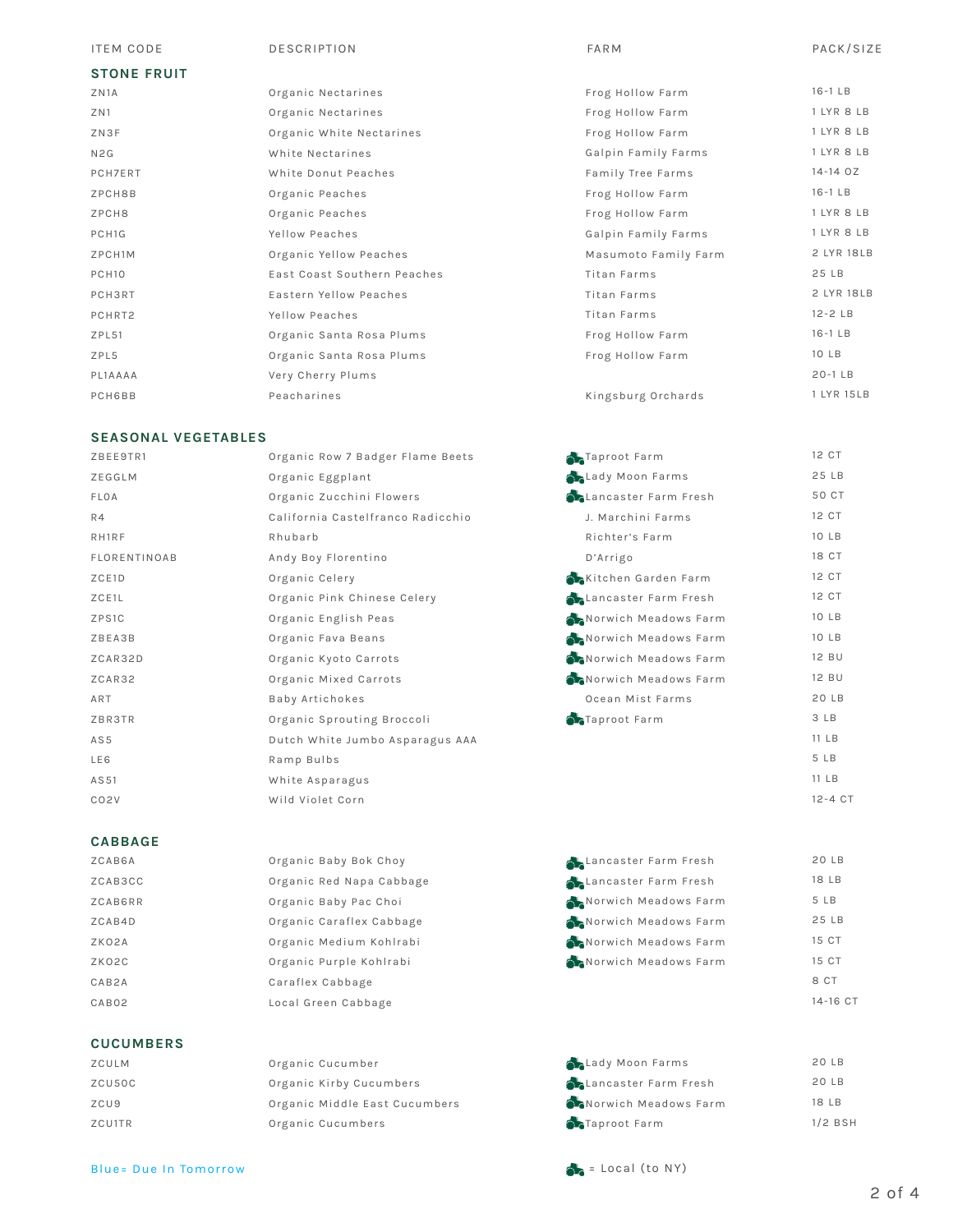### ITEM CODE DESCRIPTION FARM PACK/SIZE

## **STONE FRUIT**

| ZN1A                | Organic Nectarines          |
|---------------------|-----------------------------|
| ZN1                 | Organic Nectarines          |
| ZN3F                | Organic White Nectarines    |
| N <sub>2</sub> G    | White Nectarines            |
| <b>PCH7ERT</b>      | White Donut Peaches         |
| ZPCH8B              | Organic Peaches             |
| ZPCH8               | Organic Peaches             |
| PCH <sub>1G</sub>   | Yellow Peaches              |
| ZPCH <sub>1</sub> M | Organic Yellow Peaches      |
| PCH <sub>10</sub>   | East Coast Southern Peaches |
| <b>PCH3RT</b>       | Eastern Yellow Peaches      |
| PCHRT2              | Yellow Peaches              |
| ZPL51               | Organic Santa Rosa Plums    |
| ZPL5                | Organic Santa Rosa Plums    |
| PL1AAAA             | Very Cherry Plums           |
| <b>PCH6BB</b>       | Peacharines                 |

## **SEASONAL VEGETABLES**

| ZBEE9TR1            | Organic Row 7 Badger Flame Beets  |
|---------------------|-----------------------------------|
| ZEGGLM              | Organic Eggplant                  |
| FLOA                | Organic Zucchini Flowers          |
| R4                  | California Castelfranco Radicchio |
| RH1RF               | Rhubarb                           |
| <b>FLORENTINOAB</b> | Andy Boy Florentino               |
| ZCE1D               | Organic Celery                    |
| ZCE1L               | Organic Pink Chinese Celery       |
| ZPS1C               | Organic English Peas              |
| ZBEA3B              | Organic Fava Beans                |
| ZCAR32D             | Organic Kyoto Carrots             |
| ZCAR32              | Organic Mixed Carrots             |
| ART                 | Baby Artichokes                   |
| ZBR3TR              | Organic Sprouting Broccoli        |
| AS5                 | Dutch White Jumbo Asparagus AAA   |
| LE6                 | Ramp Bulbs                        |
| AS51                | White Asparagus                   |
| CO <sub>2</sub> V   | Wild Violet Corn                  |

## **CABBAGE**

| ZCAB6A  | Organic Baby Bok Choy    | Lancaster Farm Fresh | 20 LB    |
|---------|--------------------------|----------------------|----------|
| ZCAB3CC | Organic Red Napa Cabbage | Lancaster Farm Fresh | 18 LB    |
| ZCAB6RR | Organic Baby Pac Choi    | Norwich Meadows Farm | 5 LB     |
| ZCAB4D  | Organic Caraflex Cabbage | Norwich Meadows Farm | 25 LB    |
| ZKO2A   | Organic Medium Kohlrabi  | Norwich Meadows Farm | 15 CT    |
| ZKO2C   | Organic Purple Kohlrabi  | Norwich Meadows Farm | 15 CT    |
| CAB2A   | Caraflex Cabbage         |                      | 8 CT     |
| CAB02   | Local Green Cabbage      |                      | 14-16 CT |
|         |                          |                      |          |

#### 20 LB 20 LB 18 LB 1/2 BSH **Lady Moon Farms Chancaster Farm Fresh Norwich Meadows Farm** Taproot Farm

## **CUCUMBERS**

| ZCULM            |  |
|------------------|--|
| ZCU50C           |  |
| ZCU <sub>9</sub> |  |
| ZCU1TR           |  |

Organic Kirby Cucumbers Organic Middle East Cucumbers Organic Cucumbers

Organic Cucumber

Blue= Due In Tomorrow example of the state of the Second Second (to NY)

| .          |
|------------|
| $16-1$ LB  |
| 1 LYR 8 LB |
| 1 LYR 8 LB |

| Frog Hollow Farm     | $16-1$ LB   |
|----------------------|-------------|
| Frog Hollow Farm     | 1 LYR 8 LB  |
| Frog Hollow Farm     | 1 LYR 8 LB  |
| Galpin Family Farms  | 1 LYR 8 LB  |
| Family Tree Farms    | 14-14 OZ    |
| Frog Hollow Farm     | $16-1$ LB   |
| Frog Hollow Farm     | 1 LYR 8 LB  |
| Galpin Family Farms  | 1 LYR 8 LB  |
| Masumoto Family Farm | 2 LYR 18LB  |
| Titan Farms          | 25 LB       |
| Titan Farms          | 2 LYR 18LB  |
| Titan Farms          | $12 - 2$ LB |
| Frog Hollow Farm     | $16-1$ LB   |
| Frog Hollow Farm     | 10 LB       |
|                      | $20-1$ LB   |
| Kingsburg Orchards   | 1 LYR 15LB  |

| Taproot Farm                   | 12 CT       |
|--------------------------------|-------------|
| <b>Changes</b> Lady Moon Farms | 25 LB       |
| Lancaster Farm Fresh           | 50 CT       |
| J. Marchini Farms              | 12 CT       |
| Richter's Farm                 | 10 LB       |
| D'Arrigo                       | 18 CT       |
| Kitchen Garden Farm            | 12 CT       |
| <b>Chancaster Farm Fresh</b>   | 12 CT       |
| Norwich Meadows Farm           | 10 LB       |
| Norwich Meadows Farm           | 10 LB       |
| Norwich Meadows Farm           | 12 BU       |
| Norwich Meadows Farm           | 12 BU       |
| Ocean Mist Farms               | 20LB        |
| Taproot Farm                   | 3 LB        |
|                                | 11 LB       |
|                                | 5 LB        |
|                                | 11 LB       |
|                                | $12 - 4$ CT |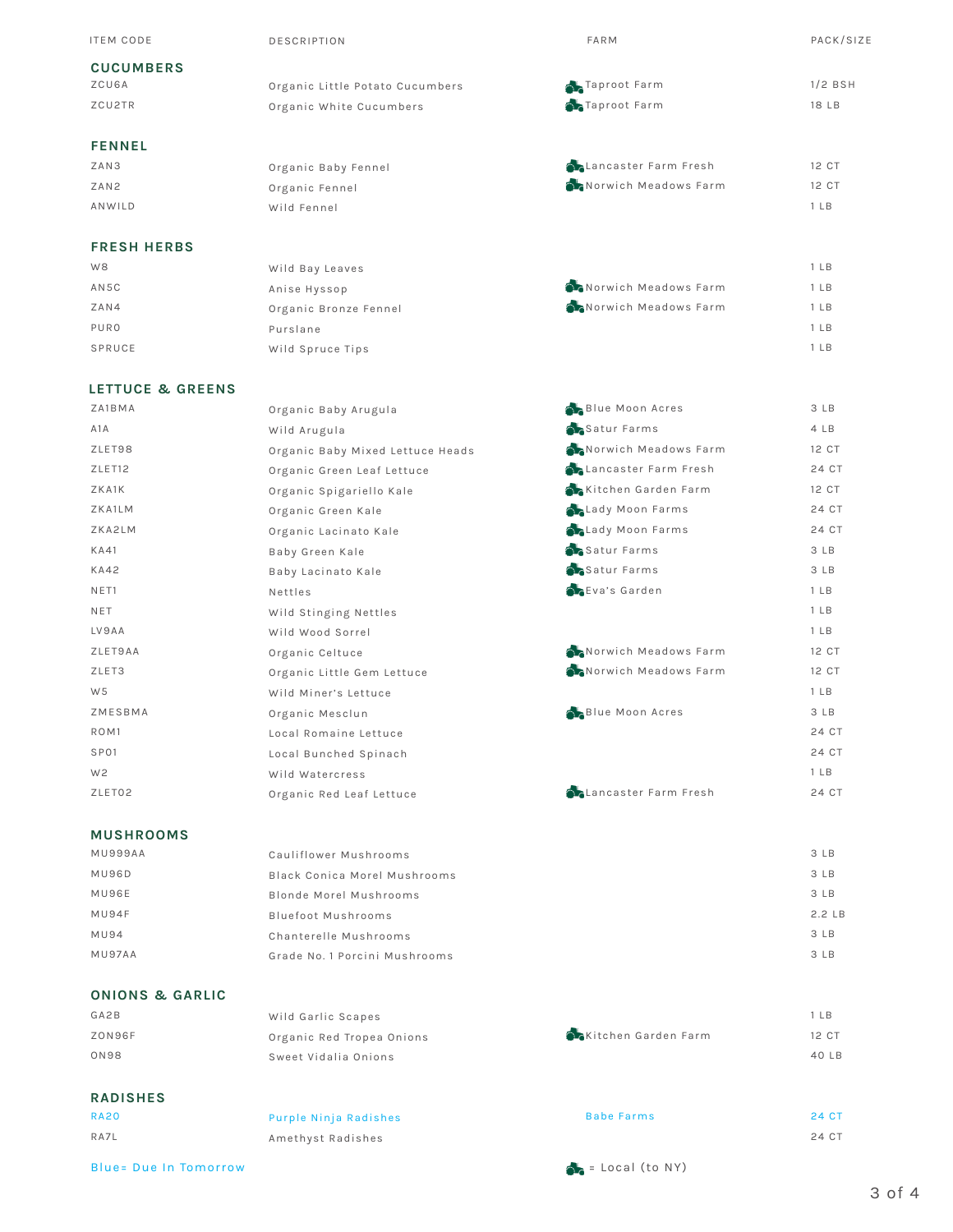| <b>ITEM CODE</b>   | <b>DESCRIPTION</b>              | FARM                         | PACK/SIZE       |
|--------------------|---------------------------------|------------------------------|-----------------|
| <b>CUCUMBERS</b>   |                                 |                              |                 |
| ZCU6A              | Organic Little Potato Cucumbers | Taproot Farm                 | $1/2$ BSH       |
| ZCU2TR             | Organic White Cucumbers         | Taproot Farm                 | 18 LB           |
| <b>FENNEL</b>      |                                 |                              |                 |
| ZAN3               | Organic Baby Fennel             | <b>ALancaster Farm Fresh</b> | 12 CT           |
| ZAN2               | Organic Fennel                  | Norwich Meadows Farm         | 12 CT           |
| ANWILD             | Wild Fennel                     |                              | 1 <sub>LB</sub> |
| <b>FRESH HERBS</b> |                                 |                              |                 |
| W <sub>8</sub>     | Wild Bay Leaves                 |                              | 1 <sub>LB</sub> |
| AN5C               | Anise Hyssop                    | Norwich Meadows Farm         | 1 <sub>LB</sub> |
| ZAN4               | Organic Bronze Fennel           | Norwich Meadows Farm         | 1 <sub>LB</sub> |
| PURO               | Purslane                        |                              | 1 <sub>LB</sub> |
| SPRUCE             | Wild Spruce Tips                |                              | 1 <sub>LB</sub> |
|                    |                                 |                              |                 |

## **LETTUCE & GREENS**

| ZA1BMA           | Organic Baby Arugula             | <b>Blue Moon Acres</b>       | 3 LB            |
|------------------|----------------------------------|------------------------------|-----------------|
| A1A              | Wild Arugula                     | Satur Farms                  | 4 LB            |
| ZLET98           | Organic Baby Mixed Lettuce Heads | Norwich Meadows Farm         | 12 CT           |
| ZLET12           | Organic Green Leaf Lettuce       | <b>Chancaster Farm Fresh</b> | 24 CT           |
| ZKA1K            | Organic Spigariello Kale         | Kitchen Garden Farm          | 12 CT           |
| ZKA1LM           | Organic Green Kale               | Lady Moon Farms              | 24 CT           |
| ZKA2LM           | Organic Lacinato Kale            | <b>ALady Moon Farms</b>      | 24 CT           |
| <b>KA41</b>      | Baby Green Kale                  | Satur Farms                  | 3 LB            |
| <b>KA42</b>      | Baby Lacinato Kale               | Satur Farms                  | 3 LB            |
| NET1             | Nettles                          | Eva's Garden                 | 1 <sub>LB</sub> |
| NET              | Wild Stinging Nettles            |                              | 1 <sub>LB</sub> |
| LV9AA            | Wild Wood Sorrel                 |                              | 1 <sub>LB</sub> |
| ZLET9AA          | Organic Celtuce                  | Norwich Meadows Farm         | 12 CT           |
| ZLET3            | Organic Little Gem Lettuce       | Norwich Meadows Farm         | 12 CT           |
| W <sub>5</sub>   | Wild Miner's Lettuce             |                              | 1 <sub>LB</sub> |
| ZMESBMA          | Organic Mesclun                  | Blue Moon Acres              | 3 LB            |
| ROM <sub>1</sub> | Local Romaine Lettuce            |                              | 24 CT           |
| SP01             | Local Bunched Spinach            |                              | 24 CT           |
| W <sub>2</sub>   | Wild Watercress                  |                              | 1 <sub>LB</sub> |
| ZLET02           | Organic Red Leaf Lettuce         | <b>Chancaster Farm Fresh</b> | 24 CT           |
|                  |                                  |                              |                 |

## **MUSHROOMS**

| MU999AA     | Cauliflower Mushrooms         |
|-------------|-------------------------------|
| MU96D       | Black Conica Morel Mushrooms  |
| MU96E       | Blonde Morel Mushrooms        |
| MU94F       | Bluefoot Mushrooms            |
| <b>MU94</b> | Chanterelle Mushrooms         |
| MU97AA      | Grade No. 1 Porcini Mushrooms |
|             |                               |

## **ONIONS & GARLIC**

RA20 RA7L

| <b>UNIUNO &amp; GARLIU</b> |                           |                     |
|----------------------------|---------------------------|---------------------|
| GA2B                       | Wild Garlic Scapes        |                     |
| ZON96F                     | Organic Red Tropea Onions | Kitchen Garden Farm |
| <b>ON98</b>                | Sweet Vidalia Onions      |                     |
| <b>RADISHES</b>            |                           |                     |

Purple Ninja Radishes Amethyst Radishes

## Blue= Due In Tomorrow example of the state of the Second Second (to NY)

Babe Farms

3 LB 3 LB 3 LB 2.2 LB 3 LB 3 LB

1 LB 12 CT 40 LB

24 CT 24 CT